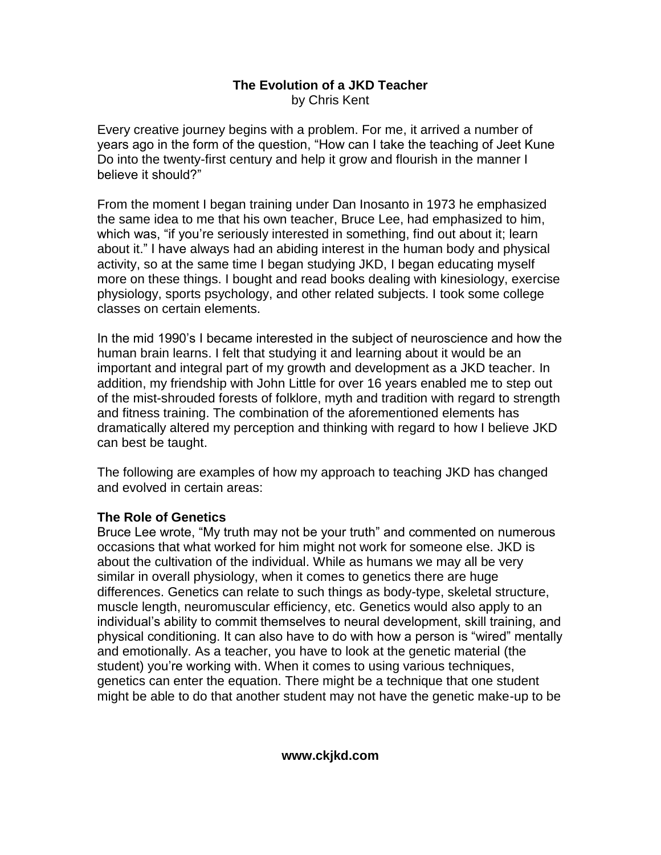#### **The Evolution of a JKD Teacher** by Chris Kent

Every creative journey begins with a problem. For me, it arrived a number of years ago in the form of the question, "How can I take the teaching of Jeet Kune Do into the twenty-first century and help it grow and flourish in the manner I believe it should?"

From the moment I began training under Dan Inosanto in 1973 he emphasized the same idea to me that his own teacher, Bruce Lee, had emphasized to him, which was, "if you're seriously interested in something, find out about it; learn about it." I have always had an abiding interest in the human body and physical activity, so at the same time I began studying JKD, I began educating myself more on these things. I bought and read books dealing with kinesiology, exercise physiology, sports psychology, and other related subjects. I took some college classes on certain elements.

In the mid 1990's I became interested in the subject of neuroscience and how the human brain learns. I felt that studying it and learning about it would be an important and integral part of my growth and development as a JKD teacher. In addition, my friendship with John Little for over 16 years enabled me to step out of the mist-shrouded forests of folklore, myth and tradition with regard to strength and fitness training. The combination of the aforementioned elements has dramatically altered my perception and thinking with regard to how I believe JKD can best be taught.

The following are examples of how my approach to teaching JKD has changed and evolved in certain areas:

## **The Role of Genetics**

Bruce Lee wrote, "My truth may not be your truth" and commented on numerous occasions that what worked for him might not work for someone else. JKD is about the cultivation of the individual. While as humans we may all be very similar in overall physiology, when it comes to genetics there are huge differences. Genetics can relate to such things as body-type, skeletal structure, muscle length, neuromuscular efficiency, etc. Genetics would also apply to an individual's ability to commit themselves to neural development, skill training, and physical conditioning. It can also have to do with how a person is "wired" mentally and emotionally. As a teacher, you have to look at the genetic material (the student) you're working with. When it comes to using various techniques, genetics can enter the equation. There might be a technique that one student might be able to do that another student may not have the genetic make-up to be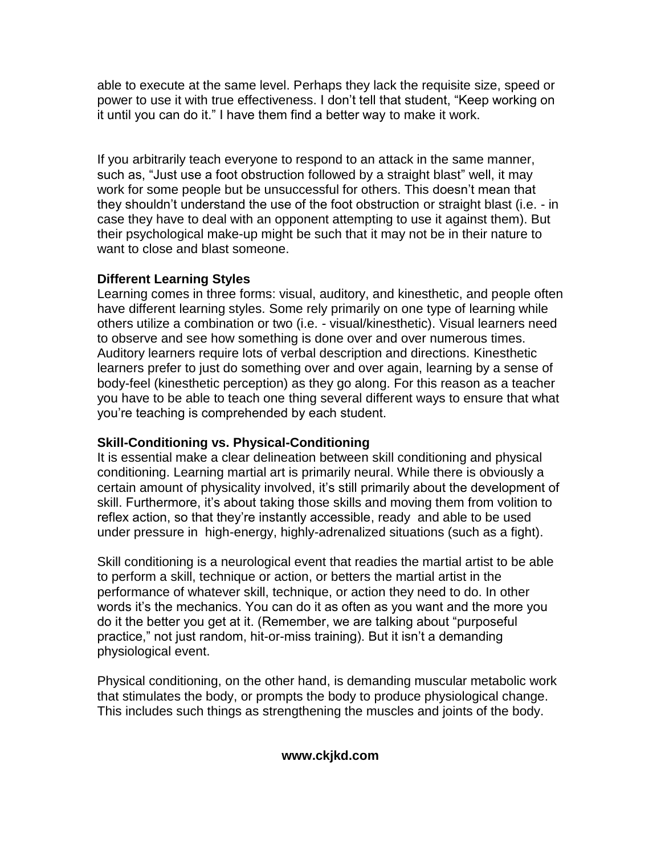able to execute at the same level. Perhaps they lack the requisite size, speed or power to use it with true effectiveness. I don't tell that student, "Keep working on it until you can do it." I have them find a better way to make it work.

If you arbitrarily teach everyone to respond to an attack in the same manner, such as, "Just use a foot obstruction followed by a straight blast" well, it may work for some people but be unsuccessful for others. This doesn't mean that they shouldn't understand the use of the foot obstruction or straight blast (i.e. - in case they have to deal with an opponent attempting to use it against them). But their psychological make-up might be such that it may not be in their nature to want to close and blast someone.

# **Different Learning Styles**

Learning comes in three forms: visual, auditory, and kinesthetic, and people often have different learning styles. Some rely primarily on one type of learning while others utilize a combination or two (i.e. - visual/kinesthetic). Visual learners need to observe and see how something is done over and over numerous times. Auditory learners require lots of verbal description and directions. Kinesthetic learners prefer to just do something over and over again, learning by a sense of body-feel (kinesthetic perception) as they go along. For this reason as a teacher you have to be able to teach one thing several different ways to ensure that what you're teaching is comprehended by each student.

# **Skill-Conditioning vs. Physical-Conditioning**

It is essential make a clear delineation between skill conditioning and physical conditioning. Learning martial art is primarily neural. While there is obviously a certain amount of physicality involved, it's still primarily about the development of skill. Furthermore, it's about taking those skills and moving them from volition to reflex action, so that they're instantly accessible, ready and able to be used under pressure in high-energy, highly-adrenalized situations (such as a fight).

Skill conditioning is a neurological event that readies the martial artist to be able to perform a skill, technique or action, or betters the martial artist in the performance of whatever skill, technique, or action they need to do. In other words it's the mechanics. You can do it as often as you want and the more you do it the better you get at it. (Remember, we are talking about "purposeful practice," not just random, hit-or-miss training). But it isn't a demanding physiological event.

Physical conditioning, on the other hand, is demanding muscular metabolic work that stimulates the body, or prompts the body to produce physiological change. This includes such things as strengthening the muscles and joints of the body.

## **www.ckjkd.com**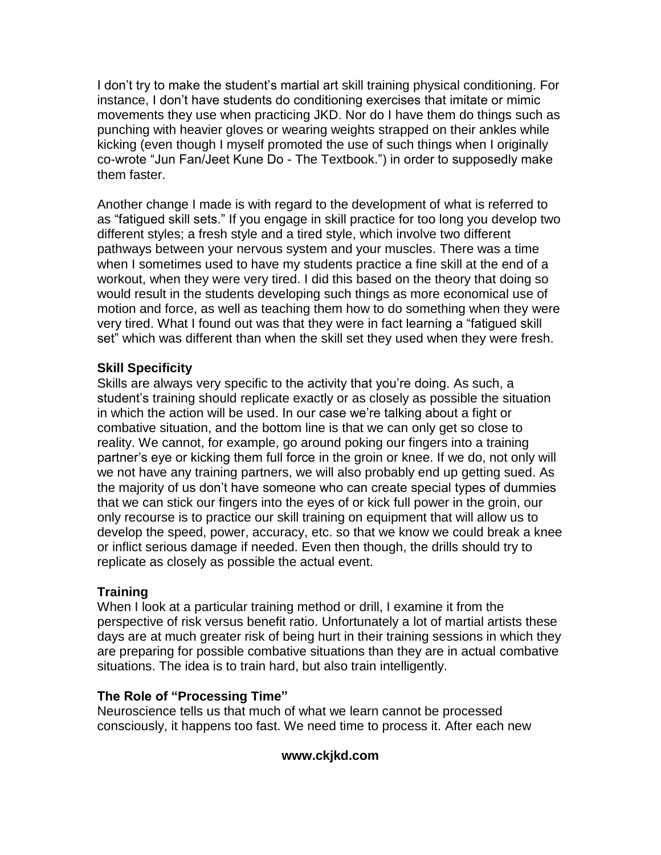I don't try to make the student's martial art skill training physical conditioning. For instance, I don't have students do conditioning exercises that imitate or mimic movements they use when practicing JKD. Nor do I have them do things such as punching with heavier gloves or wearing weights strapped on their ankles while kicking (even though I myself promoted the use of such things when I originally co-wrote "Jun Fan/Jeet Kune Do - The Textbook.") in order to supposedly make them faster.

Another change I made is with regard to the development of what is referred to as "fatigued skill sets." If you engage in skill practice for too long you develop two different styles; a fresh style and a tired style, which involve two different pathways between your nervous system and your muscles. There was a time when I sometimes used to have my students practice a fine skill at the end of a workout, when they were very tired. I did this based on the theory that doing so would result in the students developing such things as more economical use of motion and force, as well as teaching them how to do something when they were very tired. What I found out was that they were in fact learning a "fatigued skill set" which was different than when the skill set they used when they were fresh.

## **Skill Specificity**

Skills are always very specific to the activity that you're doing. As such, a student's training should replicate exactly or as closely as possible the situation in which the action will be used. In our case we're talking about a fight or combative situation, and the bottom line is that we can only get so close to reality. We cannot, for example, go around poking our fingers into a training partner's eye or kicking them full force in the groin or knee. If we do, not only will we not have any training partners, we will also probably end up getting sued. As the majority of us don't have someone who can create special types of dummies that we can stick our fingers into the eyes of or kick full power in the groin, our only recourse is to practice our skill training on equipment that will allow us to develop the speed, power, accuracy, etc. so that we know we could break a knee or inflict serious damage if needed. Even then though, the drills should try to replicate as closely as possible the actual event.

# **Training**

When I look at a particular training method or drill, I examine it from the perspective of risk versus benefit ratio. Unfortunately a lot of martial artists these days are at much greater risk of being hurt in their training sessions in which they are preparing for possible combative situations than they are in actual combative situations. The idea is to train hard, but also train intelligently.

## **The Role of "Processing Time"**

Neuroscience tells us that much of what we learn cannot be processed consciously, it happens too fast. We need time to process it. After each new

## **www.ckjkd.com**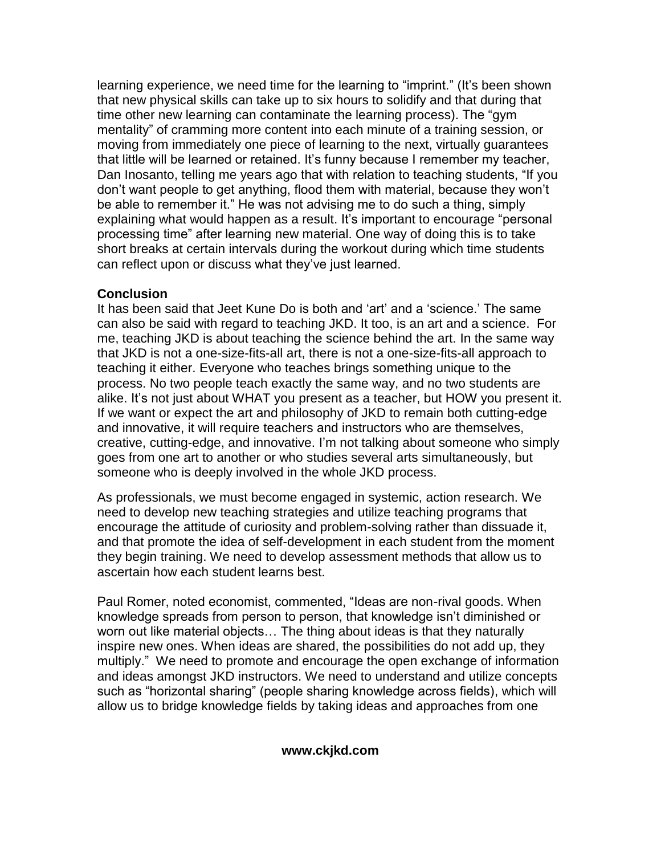learning experience, we need time for the learning to "imprint." (It's been shown that new physical skills can take up to six hours to solidify and that during that time other new learning can contaminate the learning process). The "gym mentality" of cramming more content into each minute of a training session, or moving from immediately one piece of learning to the next, virtually guarantees that little will be learned or retained. It's funny because I remember my teacher, Dan Inosanto, telling me years ago that with relation to teaching students, "If you don't want people to get anything, flood them with material, because they won't be able to remember it." He was not advising me to do such a thing, simply explaining what would happen as a result. It's important to encourage "personal processing time" after learning new material. One way of doing this is to take short breaks at certain intervals during the workout during which time students can reflect upon or discuss what they've just learned.

#### **Conclusion**

It has been said that Jeet Kune Do is both and 'art' and a 'science.' The same can also be said with regard to teaching JKD. It too, is an art and a science. For me, teaching JKD is about teaching the science behind the art. In the same way that JKD is not a one-size-fits-all art, there is not a one-size-fits-all approach to teaching it either. Everyone who teaches brings something unique to the process. No two people teach exactly the same way, and no two students are alike. It's not just about WHAT you present as a teacher, but HOW you present it. If we want or expect the art and philosophy of JKD to remain both cutting-edge and innovative, it will require teachers and instructors who are themselves, creative, cutting-edge, and innovative. I'm not talking about someone who simply goes from one art to another or who studies several arts simultaneously, but someone who is deeply involved in the whole JKD process.

As professionals, we must become engaged in systemic, action research. We need to develop new teaching strategies and utilize teaching programs that encourage the attitude of curiosity and problem-solving rather than dissuade it, and that promote the idea of self-development in each student from the moment they begin training. We need to develop assessment methods that allow us to ascertain how each student learns best.

Paul Romer, noted economist, commented, "Ideas are non-rival goods. When knowledge spreads from person to person, that knowledge isn't diminished or worn out like material objects… The thing about ideas is that they naturally inspire new ones. When ideas are shared, the possibilities do not add up, they multiply." We need to promote and encourage the open exchange of information and ideas amongst JKD instructors. We need to understand and utilize concepts such as "horizontal sharing" (people sharing knowledge across fields), which will allow us to bridge knowledge fields by taking ideas and approaches from one

#### **www.ckjkd.com**